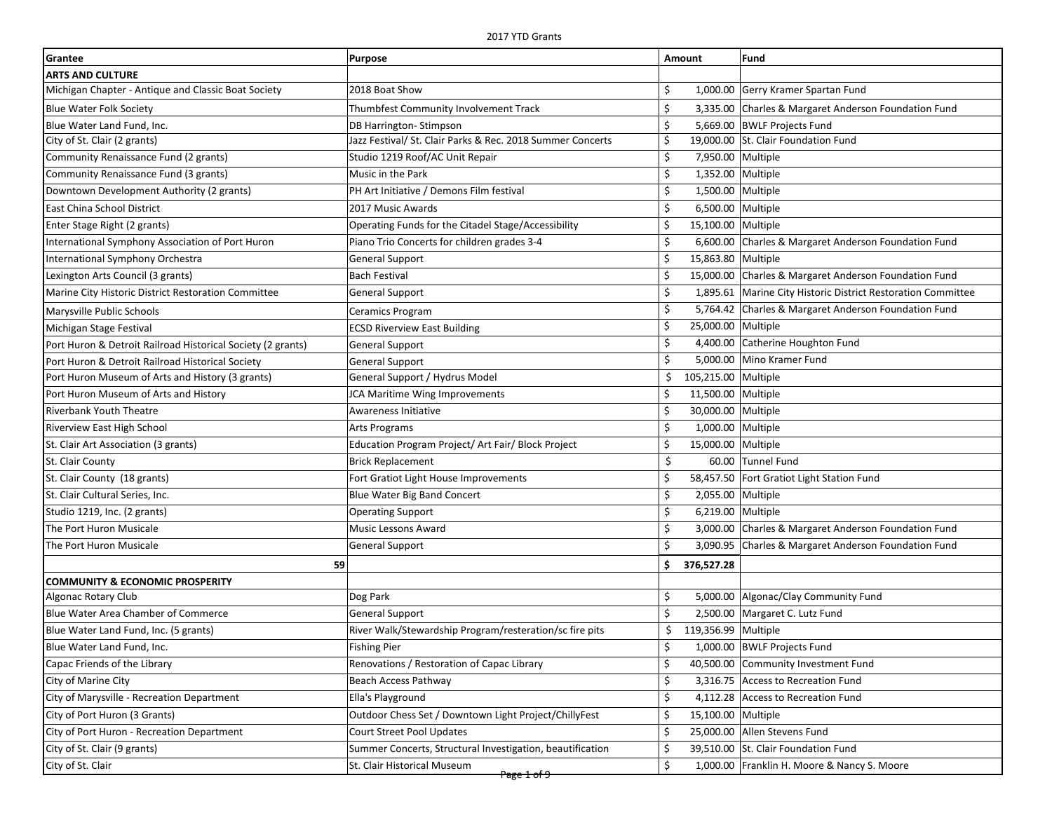| Grantee                                                     | <b>Purpose</b>                                             | Amount                    | Fund                                                           |
|-------------------------------------------------------------|------------------------------------------------------------|---------------------------|----------------------------------------------------------------|
| <b>ARTS AND CULTURE</b>                                     |                                                            |                           |                                                                |
| Michigan Chapter - Antique and Classic Boat Society         | 2018 Boat Show                                             | \$                        | 1,000.00 Gerry Kramer Spartan Fund                             |
| <b>Blue Water Folk Society</b>                              | Thumbfest Community Involvement Track                      | \$                        | 3,335.00 Charles & Margaret Anderson Foundation Fund           |
| Blue Water Land Fund, Inc.                                  | DB Harrington-Stimpson                                     | \$                        | 5,669.00 BWLF Projects Fund                                    |
| City of St. Clair (2 grants)                                | Jazz Festival/ St. Clair Parks & Rec. 2018 Summer Concerts | \$                        | 19,000.00 St. Clair Foundation Fund                            |
| Community Renaissance Fund (2 grants)                       | Studio 1219 Roof/AC Unit Repair                            | \$<br>7,950.00 Multiple   |                                                                |
| Community Renaissance Fund (3 grants)                       | Music in the Park                                          | \$<br>1,352.00 Multiple   |                                                                |
| Downtown Development Authority (2 grants)                   | PH Art Initiative / Demons Film festival                   | \$<br>1,500.00 Multiple   |                                                                |
| East China School District                                  | 2017 Music Awards                                          | \$<br>6,500.00 Multiple   |                                                                |
| Enter Stage Right (2 grants)                                | Operating Funds for the Citadel Stage/Accessibility        | \$<br>15,100.00 Multiple  |                                                                |
| International Symphony Association of Port Huron            | Piano Trio Concerts for children grades 3-4                | \$                        | 6,600.00 Charles & Margaret Anderson Foundation Fund           |
| International Symphony Orchestra                            | <b>General Support</b>                                     | \$<br>15,863.80 Multiple  |                                                                |
| Lexington Arts Council (3 grants)                           | <b>Bach Festival</b>                                       | \$                        | 15,000.00 Charles & Margaret Anderson Foundation Fund          |
| Marine City Historic District Restoration Committee         | <b>General Support</b>                                     | \$                        | 1,895.61   Marine City Historic District Restoration Committee |
| Marysville Public Schools                                   | Ceramics Program                                           | \$                        | 5,764.42 Charles & Margaret Anderson Foundation Fund           |
| Michigan Stage Festival                                     | <b>ECSD Riverview East Building</b>                        | \$<br>25,000.00 Multiple  |                                                                |
| Port Huron & Detroit Railroad Historical Society (2 grants) | <b>General Support</b>                                     | \$                        | 4,400.00 Catherine Houghton Fund                               |
| Port Huron & Detroit Railroad Historical Society            | <b>General Support</b>                                     | \$                        | 5,000.00 Mino Kramer Fund                                      |
| Port Huron Museum of Arts and History (3 grants)            | General Support / Hydrus Model                             | \$<br>105,215.00 Multiple |                                                                |
| Port Huron Museum of Arts and History                       | <b>JCA Maritime Wing Improvements</b>                      | \$<br>11,500.00 Multiple  |                                                                |
| <b>Riverbank Youth Theatre</b>                              | Awareness Initiative                                       | \$<br>30,000.00 Multiple  |                                                                |
| Riverview East High School                                  | Arts Programs                                              | \$<br>1,000.00 Multiple   |                                                                |
| St. Clair Art Association (3 grants)                        | Education Program Project/ Art Fair/ Block Project         | \$<br>15,000.00 Multiple  |                                                                |
| St. Clair County                                            | <b>Brick Replacement</b>                                   | \$                        | 60.00 Tunnel Fund                                              |
| St. Clair County (18 grants)                                | Fort Gratiot Light House Improvements                      | \$                        | 58,457.50   Fort Gratiot Light Station Fund                    |
| St. Clair Cultural Series, Inc.                             | <b>Blue Water Big Band Concert</b>                         | \$<br>2,055.00 Multiple   |                                                                |
| Studio 1219, Inc. (2 grants)                                | <b>Operating Support</b>                                   | \$<br>6,219.00 Multiple   |                                                                |
| The Port Huron Musicale                                     | <b>Music Lessons Award</b>                                 | \$                        | 3,000.00 Charles & Margaret Anderson Foundation Fund           |
| The Port Huron Musicale                                     | <b>General Support</b>                                     | \$                        | 3,090.95 Charles & Margaret Anderson Foundation Fund           |
| 59                                                          |                                                            | \$<br>376,527.28          |                                                                |
| <b>COMMUNITY &amp; ECONOMIC PROSPERITY</b>                  |                                                            |                           |                                                                |
| Algonac Rotary Club                                         | Dog Park                                                   | \$                        | 5,000.00 Algonac/Clay Community Fund                           |
| Blue Water Area Chamber of Commerce                         | <b>General Support</b>                                     | \$                        | 2,500.00 Margaret C. Lutz Fund                                 |
| Blue Water Land Fund, Inc. (5 grants)                       | River Walk/Stewardship Program/resteration/sc fire pits    | 119,356.99 Multiple<br>Ś  |                                                                |
| Blue Water Land Fund, Inc.                                  | Fishing Pier                                               | Ş                         | 1,000.00 BWLF Projects Fund                                    |
| Capac Friends of the Library                                | Renovations / Restoration of Capac Library                 | \$                        | 40,500.00 Community Investment Fund                            |
| City of Marine City                                         | Beach Access Pathway                                       | \$                        | 3,316.75 Access to Recreation Fund                             |
| City of Marysville - Recreation Department                  | Ella's Playground                                          | \$                        | 4,112.28 Access to Recreation Fund                             |
| City of Port Huron (3 Grants)                               | Outdoor Chess Set / Downtown Light Project/ChillyFest      | \$<br>15,100.00 Multiple  |                                                                |
| City of Port Huron - Recreation Department                  | Court Street Pool Updates                                  | \$                        | 25,000.00 Allen Stevens Fund                                   |
| City of St. Clair (9 grants)                                | Summer Concerts, Structural Investigation, beautification  | \$                        | 39,510.00 St. Clair Foundation Fund                            |
| City of St. Clair                                           | St. Clair Historical Museum                                | \$                        | 1,000.00 Franklin H. Moore & Nancy S. Moore                    |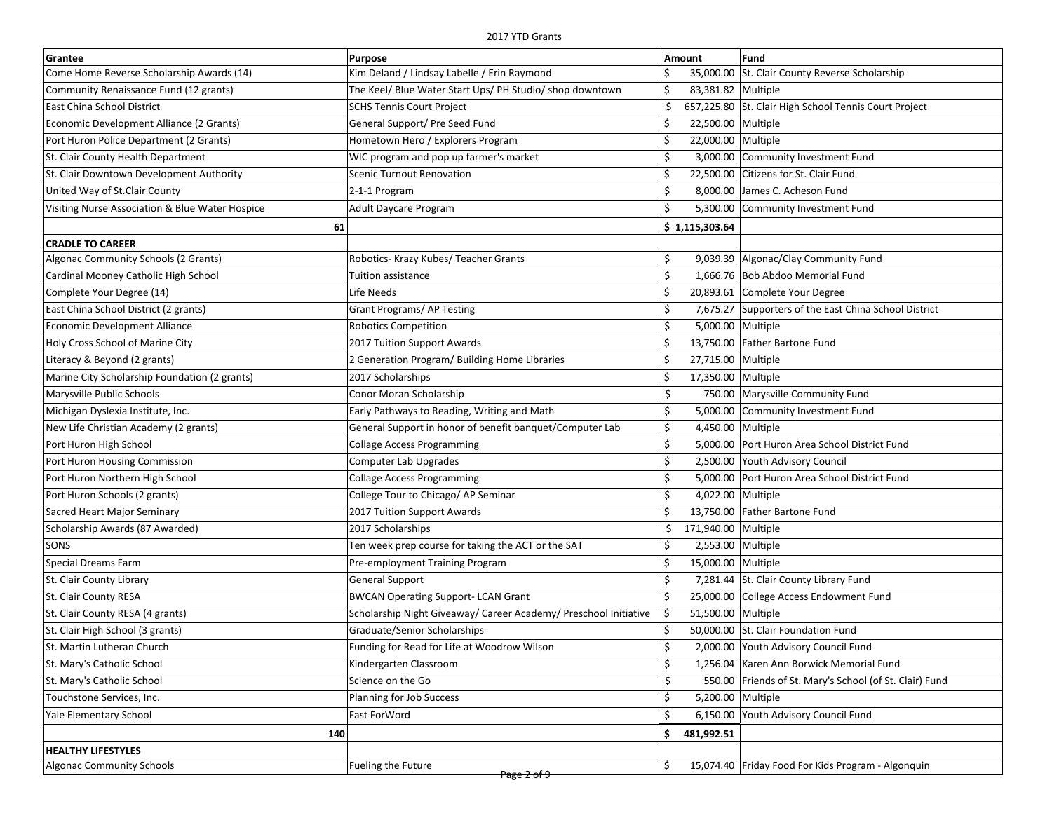| Grantee                                         | Purpose                                                          | Amount                    | Fund                                                    |
|-------------------------------------------------|------------------------------------------------------------------|---------------------------|---------------------------------------------------------|
| Come Home Reverse Scholarship Awards (14)       | Kim Deland / Lindsay Labelle / Erin Raymond                      |                           | 35,000.00 St. Clair County Reverse Scholarship          |
| Community Renaissance Fund (12 grants)          | The Keel/ Blue Water Start Ups/ PH Studio/ shop downtown         | Ŝ.<br>83,381.82 Multiple  |                                                         |
| East China School District                      | SCHS Tennis Court Project                                        | Ś                         | 657,225.80 St. Clair High School Tennis Court Project   |
| Economic Development Alliance (2 Grants)        | General Support/ Pre Seed Fund                                   | \$<br>22,500.00 Multiple  |                                                         |
| Port Huron Police Department (2 Grants)         | Hometown Hero / Explorers Program                                | \$<br>22,000.00 Multiple  |                                                         |
| St. Clair County Health Department              | WIC program and pop up farmer's market                           | Ś<br>3,000.00             | Community Investment Fund                               |
| St. Clair Downtown Development Authority        | Scenic Turnout Renovation                                        | \$                        | 22,500.00 Citizens for St. Clair Fund                   |
| United Way of St.Clair County                   | 2-1-1 Program                                                    | \$<br>8,000.00            | James C. Acheson Fund                                   |
| Visiting Nurse Association & Blue Water Hospice | Adult Daycare Program                                            | \$<br>5,300.00            | Community Investment Fund                               |
| 61                                              |                                                                  | \$1,115,303.64            |                                                         |
| <b>CRADLE TO CAREER</b>                         |                                                                  |                           |                                                         |
| Algonac Community Schools (2 Grants)            | Robotics- Krazy Kubes/ Teacher Grants                            | \$                        | 9,039.39 Algonac/Clay Community Fund                    |
| Cardinal Mooney Catholic High School            | Tuition assistance                                               | \$                        | 1,666.76 Bob Abdoo Memorial Fund                        |
| Complete Your Degree (14)                       | Life Needs                                                       | \$                        | 20,893.61 Complete Your Degree                          |
| East China School District (2 grants)           | <b>Grant Programs/AP Testing</b>                                 | \$                        | 7,675.27 Supporters of the East China School District   |
| <b>Economic Development Alliance</b>            | <b>Robotics Competition</b>                                      | \$<br>5,000.00 Multiple   |                                                         |
| Holy Cross School of Marine City                | 2017 Tuition Support Awards                                      | \$                        | 13,750.00 Father Bartone Fund                           |
| Literacy & Beyond (2 grants)                    | 2 Generation Program/ Building Home Libraries                    | Ś<br>27,715.00 Multiple   |                                                         |
| Marine City Scholarship Foundation (2 grants)   | 2017 Scholarships                                                | \$<br>17,350.00 Multiple  |                                                         |
| Marysville Public Schools                       | Conor Moran Scholarship                                          | \$                        | 750.00 Marysville Community Fund                        |
| Michigan Dyslexia Institute, Inc.               | Early Pathways to Reading, Writing and Math                      | \$                        | 5,000.00 Community Investment Fund                      |
| New Life Christian Academy (2 grants)           | General Support in honor of benefit banquet/Computer Lab         | \$<br>4,450.00 Multiple   |                                                         |
| Port Huron High School                          | Collage Access Programming                                       | \$                        | 5,000.00 Port Huron Area School District Fund           |
| Port Huron Housing Commission                   | <b>Computer Lab Upgrades</b>                                     | \$                        | 2,500.00 Youth Advisory Council                         |
| Port Huron Northern High School                 | <b>Collage Access Programming</b>                                | \$                        | 5,000.00   Port Huron Area School District Fund         |
| Port Huron Schools (2 grants)                   | College Tour to Chicago/ AP Seminar                              | \$<br>4,022.00 Multiple   |                                                         |
| Sacred Heart Major Seminary                     | 2017 Tuition Support Awards                                      | Ŝ.                        | 13,750.00   Father Bartone Fund                         |
| Scholarship Awards (87 Awarded)                 | 2017 Scholarships                                                | 171,940.00 Multiple<br>\$ |                                                         |
| SONS                                            | Ten week prep course for taking the ACT or the SAT               | \$<br>2,553.00 Multiple   |                                                         |
| <b>Special Dreams Farm</b>                      | Pre-employment Training Program                                  | \$<br>15,000.00 Multiple  |                                                         |
| St. Clair County Library                        | General Support                                                  | \$                        | 7,281.44 St. Clair County Library Fund                  |
| St. Clair County RESA                           | <b>BWCAN Operating Support- LCAN Grant</b>                       | \$                        | 25,000.00 College Access Endowment Fund                 |
| St. Clair County RESA (4 grants)                | Scholarship Night Giveaway/ Career Academy/ Preschool Initiative | \$<br>51,500.00 Multiple  |                                                         |
| St. Clair High School (3 grants)                | Graduate/Senior Scholarships                                     |                           | 50,000.00 St. Clair Foundation Fund                     |
| St. Martin Lutheran Church                      | Funding for Read for Life at Woodrow Wilson                      | →                         | 2,000.00 Youth Advisory Council Fund                    |
| St. Mary's Catholic School                      | Kindergarten Classroom                                           | \$                        | 1,256.04 Karen Ann Borwick Memorial Fund                |
| St. Mary's Catholic School                      | Science on the Go                                                | \$                        | 550.00 Friends of St. Mary's School (of St. Clair) Fund |
| Touchstone Services, Inc.                       | Planning for Job Success                                         | \$<br>5,200.00 Multiple   |                                                         |
| Yale Elementary School                          | <b>Fast ForWord</b>                                              | \$<br>6,150.00            | Youth Advisory Council Fund                             |
| 140                                             |                                                                  | \$<br>481,992.51          |                                                         |
| <b>HEALTHY LIFESTYLES</b>                       |                                                                  |                           |                                                         |
| <b>Algonac Community Schools</b>                | Fueling the Future                                               | \$                        | 15,074.40 Friday Food For Kids Program - Algonquin      |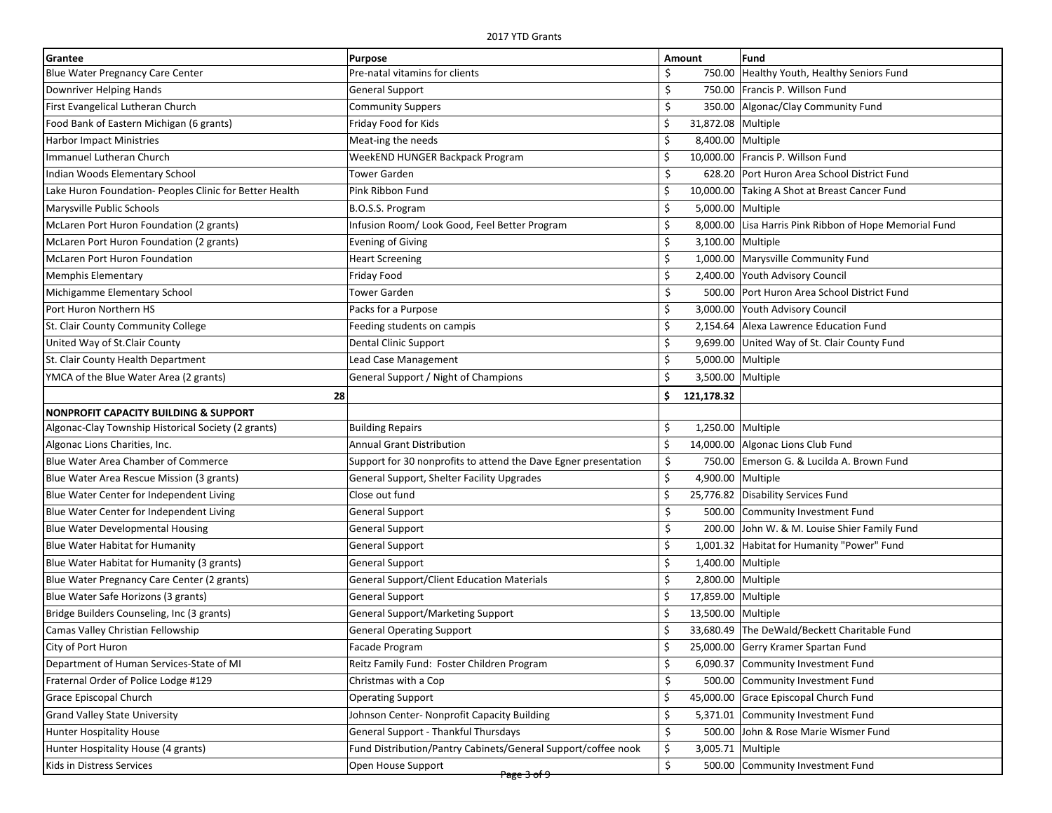| Grantee                                                 | <b>Purpose</b>                                                  | Amount |                    | Fund                                          |
|---------------------------------------------------------|-----------------------------------------------------------------|--------|--------------------|-----------------------------------------------|
| <b>Blue Water Pregnancy Care Center</b>                 | Pre-natal vitamins for clients                                  | \$     | 750.00             | Healthy Youth, Healthy Seniors Fund           |
| Downriver Helping Hands                                 | General Support                                                 | \$     |                    | 750.00 Francis P. Willson Fund                |
| First Evangelical Lutheran Church                       | <b>Community Suppers</b>                                        | \$     |                    | 350.00 Algonac/Clay Community Fund            |
| Food Bank of Eastern Michigan (6 grants)                | Friday Food for Kids                                            | \$     | 31,872.08 Multiple |                                               |
| <b>Harbor Impact Ministries</b>                         | Meat-ing the needs                                              | \$     | 8,400.00 Multiple  |                                               |
| Immanuel Lutheran Church                                | WeekEND HUNGER Backpack Program                                 | \$     |                    | 10,000.00 Francis P. Willson Fund             |
| Indian Woods Elementary School                          | Tower Garden                                                    | \$     |                    | 628.20 Port Huron Area School District Fund   |
| Lake Huron Foundation- Peoples Clinic for Better Health | Pink Ribbon Fund                                                | \$     | 10,000.00          | Taking A Shot at Breast Cancer Fund           |
| Marysville Public Schools                               | B.O.S.S. Program                                                | \$     | 5,000.00 Multiple  |                                               |
| McLaren Port Huron Foundation (2 grants)                | Infusion Room/ Look Good, Feel Better Program                   | \$     | 8,000.00           | Lisa Harris Pink Ribbon of Hope Memorial Fund |
| McLaren Port Huron Foundation (2 grants)                | <b>Evening of Giving</b>                                        | \$     | 3,100.00 Multiple  |                                               |
| <b>McLaren Port Huron Foundation</b>                    | <b>Heart Screening</b>                                          | \$     | 1,000.00           | Marysville Community Fund                     |
| <b>Memphis Elementary</b>                               | Friday Food                                                     | \$     | 2,400.00           | Youth Advisory Council                        |
| Michigamme Elementary School                            | Tower Garden                                                    | \$     | 500.00             | Port Huron Area School District Fund          |
| Port Huron Northern HS                                  | Packs for a Purpose                                             | \$     | 3,000.00           | Youth Advisory Council                        |
| St. Clair County Community College                      | Feeding students on campis                                      | \$     |                    | 2,154.64 Alexa Lawrence Education Fund        |
| United Way of St.Clair County                           | Dental Clinic Support                                           | \$     |                    | 9,699.00 United Way of St. Clair County Fund  |
| St. Clair County Health Department                      | Lead Case Management                                            | \$     | 5,000.00 Multiple  |                                               |
| YMCA of the Blue Water Area (2 grants)                  | General Support / Night of Champions                            | \$     | 3,500.00 Multiple  |                                               |
| 28                                                      |                                                                 | \$     | 121,178.32         |                                               |
| <b>NONPROFIT CAPACITY BUILDING &amp; SUPPORT</b>        |                                                                 |        |                    |                                               |
| Algonac-Clay Township Historical Society (2 grants)     | <b>Building Repairs</b>                                         | \$     | 1,250.00 Multiple  |                                               |
| Algonac Lions Charities, Inc.                           | <b>Annual Grant Distribution</b>                                | \$     |                    | 14,000.00 Algonac Lions Club Fund             |
| Blue Water Area Chamber of Commerce                     | Support for 30 nonprofits to attend the Dave Egner presentation | \$     |                    | 750.00 Emerson G. & Lucilda A. Brown Fund     |
| Blue Water Area Rescue Mission (3 grants)               | General Support, Shelter Facility Upgrades                      | \$     | 4,900.00 Multiple  |                                               |
| Blue Water Center for Independent Living                | Close out fund                                                  | \$     |                    | 25,776.82 Disability Services Fund            |
| Blue Water Center for Independent Living                | <b>General Support</b>                                          | \$     | 500.00             | Community Investment Fund                     |
| <b>Blue Water Developmental Housing</b>                 | <b>General Support</b>                                          | \$     | 200.00             | John W. & M. Louise Shier Family Fund         |
| <b>Blue Water Habitat for Humanity</b>                  | <b>General Support</b>                                          | \$     | 1,001.32           | Habitat for Humanity "Power" Fund             |
| Blue Water Habitat for Humanity (3 grants)              | <b>General Support</b>                                          | \$     | 1,400.00 Multiple  |                                               |
| Blue Water Pregnancy Care Center (2 grants)             | <b>General Support/Client Education Materials</b>               | \$     | 2,800.00 Multiple  |                                               |
| Blue Water Safe Horizons (3 grants)                     | <b>General Support</b>                                          | \$     | 17,859.00 Multiple |                                               |
| Bridge Builders Counseling, Inc (3 grants)              | <b>General Support/Marketing Support</b>                        | \$     | 13,500.00 Multiple |                                               |
| Camas Valley Christian Fellowship                       | <b>General Operating Support</b>                                | \$     |                    | 33,680.49 The DeWald/Beckett Charitable Fund  |
| City of Port Huron                                      | Facade Program                                                  | \$     |                    | 25,000.00 Gerry Kramer Spartan Fund           |
| Department of Human Services-State of MI                | Reitz Family Fund: Foster Children Program                      | \$     | 6,090.37           | Community Investment Fund                     |
| Fraternal Order of Police Lodge #129                    | Christmas with a Cop                                            | \$     | 500.00             | Community Investment Fund                     |
| Grace Episcopal Church                                  | <b>Operating Support</b>                                        | \$     |                    | 45,000.00 Grace Episcopal Church Fund         |
| <b>Grand Valley State University</b>                    | Johnson Center- Nonprofit Capacity Building                     | \$     |                    | 5,371.01 Community Investment Fund            |
| <b>Hunter Hospitality House</b>                         | General Support - Thankful Thursdays                            | \$     |                    | 500.00 John & Rose Marie Wismer Fund          |
| Hunter Hospitality House (4 grants)                     | Fund Distribution/Pantry Cabinets/General Support/coffee nook   | \$     | 3,005.71 Multiple  |                                               |
| Kids in Distress Services                               | Open House Support                                              | \$     | 500.00             | Community Investment Fund                     |
|                                                         | <del>Page 3 of 9-</del>                                         |        |                    |                                               |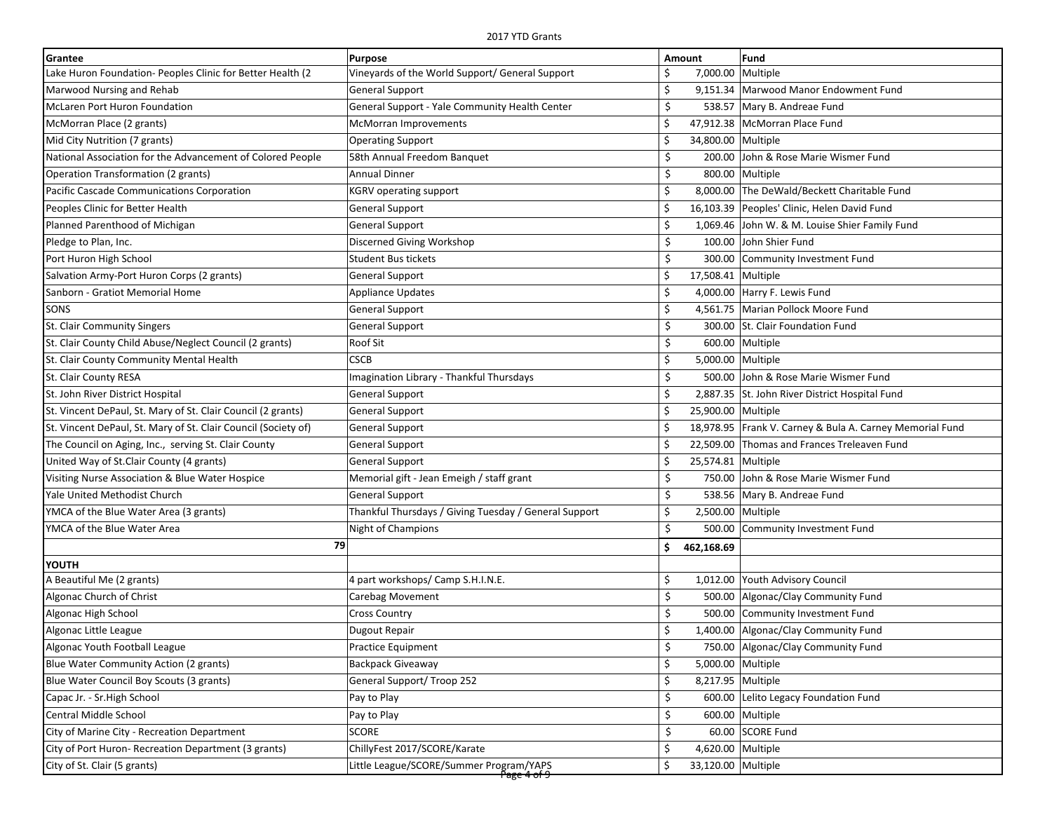| Grantee                                                        | Purpose                                                            | Amount                   | Fund                                                     |
|----------------------------------------------------------------|--------------------------------------------------------------------|--------------------------|----------------------------------------------------------|
| Lake Huron Foundation- Peoples Clinic for Better Health (2)    | Vineyards of the World Support/ General Support                    | 7,000.00 Multiple<br>\$. |                                                          |
| Marwood Nursing and Rehab                                      | General Support                                                    | \$                       | 9,151.34   Marwood Manor Endowment Fund                  |
| McLaren Port Huron Foundation                                  | General Support - Yale Community Health Center                     | \$                       | 538.57 Mary B. Andreae Fund                              |
| McMorran Place (2 grants)                                      | <b>McMorran Improvements</b>                                       | Ś                        | 47,912.38 McMorran Place Fund                            |
| Mid City Nutrition (7 grants)                                  | <b>Operating Support</b>                                           | \$<br>34,800.00 Multiple |                                                          |
| National Association for the Advancement of Colored People     | 58th Annual Freedom Banquet                                        | \$                       | 200.00 John & Rose Marie Wismer Fund                     |
| Operation Transformation (2 grants)                            | <b>Annual Dinner</b>                                               | \$                       | 800.00 Multiple                                          |
| Pacific Cascade Communications Corporation                     | <b>KGRV operating support</b>                                      | \$                       | 8,000.00 The DeWald/Beckett Charitable Fund              |
| Peoples Clinic for Better Health                               | General Support                                                    | \$                       | 16,103.39 Peoples' Clinic, Helen David Fund              |
| Planned Parenthood of Michigan                                 | General Support                                                    | \$                       | 1,069.46 John W. & M. Louise Shier Family Fund           |
| Pledge to Plan, Inc.                                           | Discerned Giving Workshop                                          | \$<br>100.00             | John Shier Fund                                          |
| Port Huron High School                                         | <b>Student Bus tickets</b>                                         | \$<br>300.00             | Community Investment Fund                                |
| Salvation Army-Port Huron Corps (2 grants)                     | General Support                                                    | \$<br>17,508.41 Multiple |                                                          |
| Sanborn - Gratiot Memorial Home                                | Appliance Updates                                                  | \$                       | 4,000.00 Harry F. Lewis Fund                             |
| SONS                                                           | <b>General Support</b>                                             | \$                       | 4,561.75 Marian Pollock Moore Fund                       |
| St. Clair Community Singers                                    | General Support                                                    | \$                       | 300.00 St. Clair Foundation Fund                         |
| St. Clair County Child Abuse/Neglect Council (2 grants)        | Roof Sit                                                           | \$                       | 600.00 Multiple                                          |
| St. Clair County Community Mental Health                       | <b>CSCB</b>                                                        | \$<br>5,000.00 Multiple  |                                                          |
| St. Clair County RESA                                          | Imagination Library - Thankful Thursdays                           | \$                       | 500.00 John & Rose Marie Wismer Fund                     |
| St. John River District Hospital                               | General Support                                                    | \$                       | 2,887.35 St. John River District Hospital Fund           |
| St. Vincent DePaul, St. Mary of St. Clair Council (2 grants)   | General Support                                                    | Ś<br>25,900.00 Multiple  |                                                          |
| St. Vincent DePaul, St. Mary of St. Clair Council (Society of) | General Support                                                    | Ś.                       | 18,978.95 Frank V. Carney & Bula A. Carney Memorial Fund |
| The Council on Aging, Inc., serving St. Clair County           | General Support                                                    | Ś                        | 22,509.00 Thomas and Frances Treleaven Fund              |
| United Way of St.Clair County (4 grants)                       | <b>General Support</b>                                             | \$<br>25,574.81 Multiple |                                                          |
| Visiting Nurse Association & Blue Water Hospice                | Memorial gift - Jean Emeigh / staff grant                          | \$                       | 750.00 John & Rose Marie Wismer Fund                     |
| Yale United Methodist Church                                   | General Support                                                    | \$                       | 538.56 Mary B. Andreae Fund                              |
| YMCA of the Blue Water Area (3 grants)                         | Thankful Thursdays / Giving Tuesday / General Support              | \$<br>2,500.00           | Multiple                                                 |
| YMCA of the Blue Water Area                                    | Night of Champions                                                 | \$<br>500.00             | Community Investment Fund                                |
| 79                                                             |                                                                    | \$<br>462,168.69         |                                                          |
| YOUTH                                                          |                                                                    |                          |                                                          |
| A Beautiful Me (2 grants)                                      | 4 part workshops/ Camp S.H.I.N.E.                                  | \$<br>1,012.00           | Youth Advisory Council                                   |
| Algonac Church of Christ                                       | Carebag Movement                                                   | \$<br>500.00             | Algonac/Clay Community Fund                              |
| Algonac High School                                            | <b>Cross Country</b>                                               | \$<br>500.00             | Community Investment Fund                                |
| Algonac Little League                                          | Dugout Repair                                                      | \$                       | 1,400.00 Algonac/Clay Community Fund                     |
| Algonac Youth Football League                                  | Practice Equipment                                                 | \$                       | 750.00 Algonac/Clay Community Fund                       |
| Blue Water Community Action (2 grants)                         | Backpack Giveaway                                                  | \$<br>5,000.00 Multiple  |                                                          |
| Blue Water Council Boy Scouts (3 grants)                       | General Support/Troop 252                                          | \$<br>8,217.95 Multiple  |                                                          |
| Capac Jr. - Sr. High School                                    | Pay to Play                                                        | \$<br>600.00             | Lelito Legacy Foundation Fund                            |
| Central Middle School                                          | Pay to Play                                                        | \$                       | 600.00 Multiple                                          |
| City of Marine City - Recreation Department                    | <b>SCORE</b>                                                       | \$                       | 60.00 SCORE Fund                                         |
| City of Port Huron- Recreation Department (3 grants)           | ChillyFest 2017/SCORE/Karate                                       | \$<br>4,620.00 Multiple  |                                                          |
| City of St. Clair (5 grants)                                   | Little League/SCORE/Summer Program/YAPS<br><del>Page 4 of 9-</del> | \$<br>33,120.00 Multiple |                                                          |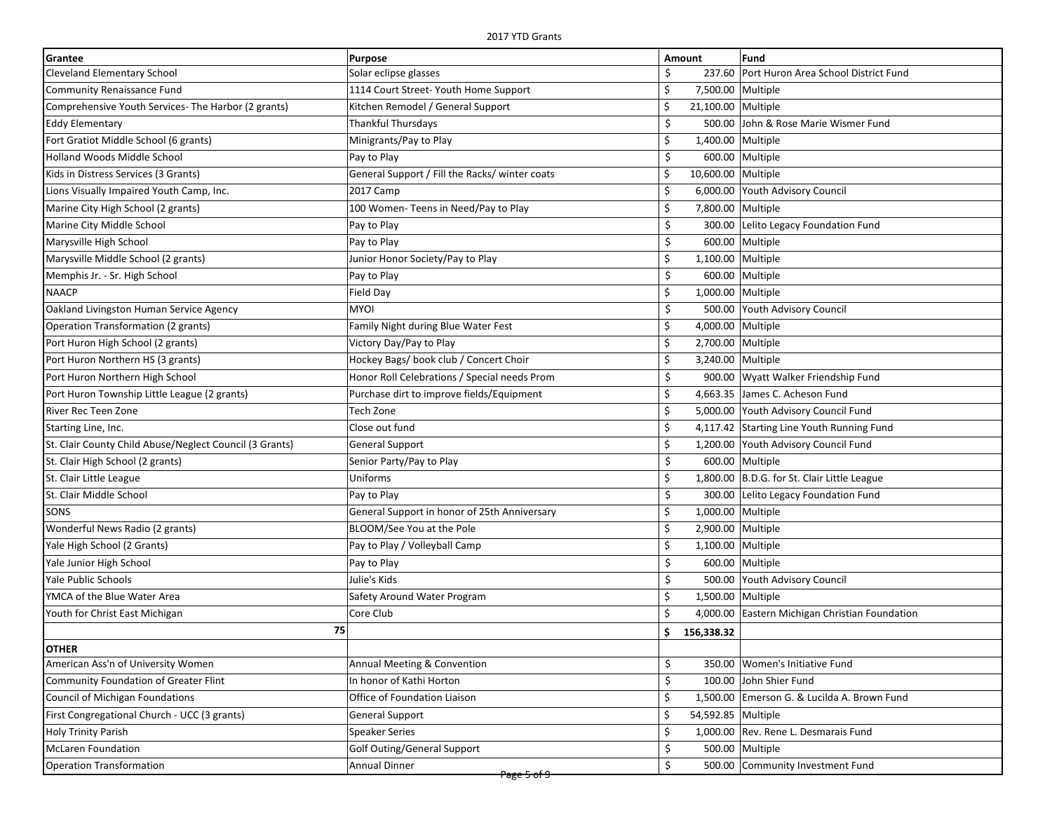| Grantee                                                 | Purpose                                        | Amount                   | Fund                                        |
|---------------------------------------------------------|------------------------------------------------|--------------------------|---------------------------------------------|
| <b>Cleveland Elementary School</b>                      | Solar eclipse glasses                          | Ś                        | 237.60 Port Huron Area School District Fund |
| <b>Community Renaissance Fund</b>                       | 1114 Court Street- Youth Home Support          | \$<br>7,500.00 Multiple  |                                             |
| Comprehensive Youth Services- The Harbor (2 grants)     | Kitchen Remodel / General Support              | \$<br>21,100.00 Multiple |                                             |
| <b>Eddy Elementary</b>                                  | Thankful Thursdays                             | \$                       | 500.00 John & Rose Marie Wismer Fund        |
| Fort Gratiot Middle School (6 grants)                   | Minigrants/Pay to Play                         | Ś<br>1,400.00 Multiple   |                                             |
| <b>Holland Woods Middle School</b>                      | Pay to Play                                    | \$                       | 600.00 Multiple                             |
| Kids in Distress Services (3 Grants)                    | General Support / Fill the Racks/ winter coats | \$<br>10,600.00 Multiple |                                             |
| Lions Visually Impaired Youth Camp, Inc.                | 2017 Camp                                      | Ś                        | 6,000.00 Youth Advisory Council             |
| Marine City High School (2 grants)                      | 100 Women- Teens in Need/Pay to Play           | \$<br>7,800.00 Multiple  |                                             |
| Marine City Middle School                               | Pay to Play                                    | \$                       | 300.00 Lelito Legacy Foundation Fund        |
| Marysville High School                                  | Pay to Play                                    | \$                       | 600.00 Multiple                             |
| Marysville Middle School (2 grants)                     | Junior Honor Society/Pay to Play               | \$<br>1,100.00 Multiple  |                                             |
| Memphis Jr. - Sr. High School                           | Pay to Play                                    | \$                       | 600.00 Multiple                             |
| <b>NAACP</b>                                            | Field Day                                      | \$<br>1,000.00 Multiple  |                                             |
| Oakland Livingston Human Service Agency                 | <b>MYOI</b>                                    | \$                       | 500.00 Youth Advisory Council               |
| Operation Transformation (2 grants)                     | Family Night during Blue Water Fest            | \$<br>4,000.00 Multiple  |                                             |
| Port Huron High School (2 grants)                       | Victory Day/Pay to Play                        | \$<br>2,700.00 Multiple  |                                             |
| Port Huron Northern HS (3 grants)                       | Hockey Bags/ book club / Concert Choir         | \$<br>3,240.00 Multiple  |                                             |
| Port Huron Northern High School                         | Honor Roll Celebrations / Special needs Prom   | \$                       | 900.00 Wyatt Walker Friendship Fund         |
| Port Huron Township Little League (2 grants)            | Purchase dirt to improve fields/Equipment      | \$                       | 4,663.35 James C. Acheson Fund              |
| River Rec Teen Zone                                     | Tech Zone                                      | \$                       | 5,000.00 Youth Advisory Council Fund        |
| Starting Line, Inc.                                     | Close out fund                                 | \$                       | 4,117.42 Starting Line Youth Running Fund   |
| St. Clair County Child Abuse/Neglect Council (3 Grants) | <b>General Support</b>                         | \$                       | 1,200.00 Youth Advisory Council Fund        |
| St. Clair High School (2 grants)                        | Senior Party/Pay to Play                       | \$                       | 600.00 Multiple                             |
| St. Clair Little League                                 | Uniforms                                       | \$                       | 1,800.00 B.D.G. for St. Clair Little League |
| St. Clair Middle School                                 | Pay to Play                                    | \$<br>300.00             | Lelito Legacy Foundation Fund               |
| SONS                                                    | General Support in honor of 25th Anniversary   | \$<br>1,000.00 Multiple  |                                             |
| Wonderful News Radio (2 grants)                         | BLOOM/See You at the Pole                      | \$<br>2,900.00 Multiple  |                                             |
| Yale High School (2 Grants)                             | Pay to Play / Volleyball Camp                  | \$<br>1,100.00 Multiple  |                                             |
| Yale Junior High School                                 | Pay to Play                                    | \$                       | 600.00 Multiple                             |
| <b>Yale Public Schools</b>                              | Julie's Kids                                   | \$                       | 500.00 Youth Advisory Council               |
| YMCA of the Blue Water Area                             | Safety Around Water Program                    | \$<br>1,500.00 Multiple  |                                             |
| Youth for Christ East Michigan                          | Core Club                                      | Ś<br>4,000.00            | Eastern Michigan Christian Foundation       |
| 75                                                      |                                                | \$<br>156,338.32         |                                             |
| <b>OTHER</b>                                            |                                                |                          |                                             |
| American Ass'n of University Women                      | Annual Meeting & Convention                    | \$                       | 350.00 Women's Initiative Fund              |
| Community Foundation of Greater Flint                   | In honor of Kathi Horton                       | \$<br>100.00             | John Shier Fund                             |
| Council of Michigan Foundations                         | Office of Foundation Liaison                   | \$<br>1,500.00           | Emerson G. & Lucilda A. Brown Fund          |
| First Congregational Church - UCC (3 grants)            | <b>General Support</b>                         | Ś<br>54,592.85 Multiple  |                                             |
| <b>Holy Trinity Parish</b>                              | <b>Speaker Series</b>                          | \$                       | 1,000.00 Rev. Rene L. Desmarais Fund        |
| <b>McLaren Foundation</b>                               | <b>Golf Outing/General Support</b>             | \$                       | 500.00 Multiple                             |
| <b>Operation Transformation</b>                         | Annual Dinner                                  | \$                       | 500.00 Community Investment Fund            |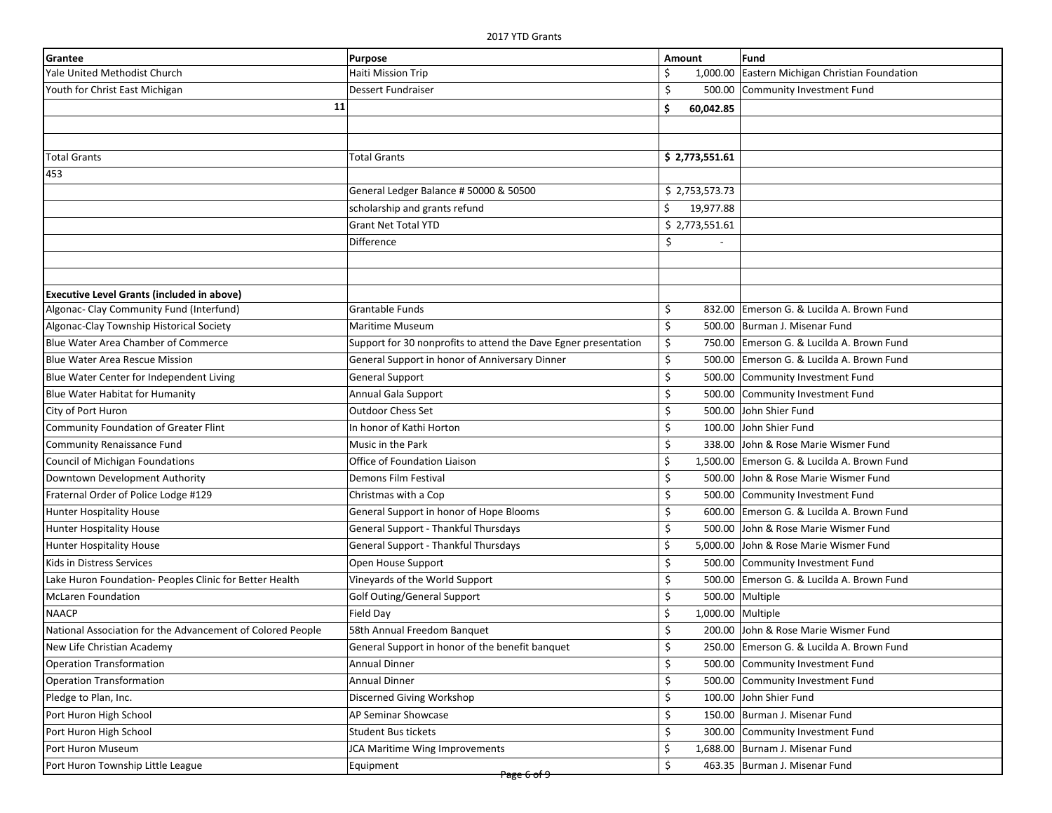| Grantee                                                    | Purpose                                                         | Amount                  | Fund                                        |
|------------------------------------------------------------|-----------------------------------------------------------------|-------------------------|---------------------------------------------|
| Yale United Methodist Church                               | Haiti Mission Trip                                              | 1,000.00                | Eastern Michigan Christian Foundation       |
| Youth for Christ East Michigan                             | <b>Dessert Fundraiser</b>                                       | \$<br>500.00            | Community Investment Fund                   |
| 11                                                         |                                                                 | \$.<br>60,042.85        |                                             |
|                                                            |                                                                 |                         |                                             |
|                                                            |                                                                 |                         |                                             |
| <b>Total Grants</b>                                        | <b>Total Grants</b>                                             | \$2,773,551.61          |                                             |
| 453                                                        |                                                                 |                         |                                             |
|                                                            | General Ledger Balance # 50000 & 50500                          | \$2,753,573.73          |                                             |
|                                                            | scholarship and grants refund                                   | \$<br>19,977.88         |                                             |
|                                                            | <b>Grant Net Total YTD</b>                                      | \$2,773,551.61          |                                             |
|                                                            | Difference                                                      | \$                      |                                             |
|                                                            |                                                                 |                         |                                             |
|                                                            |                                                                 |                         |                                             |
| <b>Executive Level Grants (included in above)</b>          |                                                                 |                         |                                             |
| Algonac- Clay Community Fund (Interfund)                   | <b>Grantable Funds</b>                                          | \$                      | 832.00 Emerson G. & Lucilda A. Brown Fund   |
| Algonac-Clay Township Historical Society                   | Maritime Museum                                                 | \$                      | 500.00 Burman J. Misenar Fund               |
| Blue Water Area Chamber of Commerce                        | Support for 30 nonprofits to attend the Dave Egner presentation | \$                      | 750.00 Emerson G. & Lucilda A. Brown Fund   |
| <b>Blue Water Area Rescue Mission</b>                      | General Support in honor of Anniversary Dinner                  | \$<br>500.00            | Emerson G. & Lucilda A. Brown Fund          |
| Blue Water Center for Independent Living                   | <b>General Support</b>                                          | \$<br>500.00            | Community Investment Fund                   |
| <b>Blue Water Habitat for Humanity</b>                     | Annual Gala Support                                             | \$<br>500.00            | Community Investment Fund                   |
| City of Port Huron                                         | <b>Outdoor Chess Set</b>                                        | \$<br>500.00            | John Shier Fund                             |
| Community Foundation of Greater Flint                      | In honor of Kathi Horton                                        | \$<br>100.00            | John Shier Fund                             |
| Community Renaissance Fund                                 | Music in the Park                                               | \$<br>338.00            | John & Rose Marie Wismer Fund               |
| Council of Michigan Foundations                            | Office of Foundation Liaison                                    | \$                      | 1,500.00 Emerson G. & Lucilda A. Brown Fund |
| Downtown Development Authority                             | Demons Film Festival                                            | \$<br>500.00            | John & Rose Marie Wismer Fund               |
| Fraternal Order of Police Lodge #129                       | Christmas with a Cop                                            | \$<br>500.00            | Community Investment Fund                   |
| <b>Hunter Hospitality House</b>                            | General Support in honor of Hope Blooms                         | \$<br>600.00            | Emerson G. & Lucilda A. Brown Fund          |
| <b>Hunter Hospitality House</b>                            | General Support - Thankful Thursdays                            | \$<br>500.00            | John & Rose Marie Wismer Fund               |
| <b>Hunter Hospitality House</b>                            | General Support - Thankful Thursdays                            | \$<br>5,000.00          | John & Rose Marie Wismer Fund               |
| Kids in Distress Services                                  | Open House Support                                              | \$<br>500.00            | Community Investment Fund                   |
| Lake Huron Foundation- Peoples Clinic for Better Health    | Vineyards of the World Support                                  | \$<br>500.00            | Emerson G. & Lucilda A. Brown Fund          |
| <b>McLaren Foundation</b>                                  | Golf Outing/General Support                                     | \$                      | 500.00 Multiple                             |
| <b>NAACP</b>                                               | Field Day                                                       | \$<br>1,000.00 Multiple |                                             |
| National Association for the Advancement of Colored People | 58th Annual Freedom Banquet                                     | \$                      | 200.00 John & Rose Marie Wismer Fund        |
| New Life Christian Academy                                 | General Support in honor of the benefit banquet                 | →                       | 250.00 Emerson G. & Lucilda A. Brown Fund   |
| <b>Operation Transformation</b>                            | Annual Dinner                                                   | \$<br>500.00            | Community Investment Fund                   |
| <b>Operation Transformation</b>                            | Annual Dinner                                                   | \$<br>500.00            | Community Investment Fund                   |
| Pledge to Plan, Inc.                                       | Discerned Giving Workshop                                       | \$<br>100.00            | John Shier Fund                             |
| Port Huron High School                                     | <b>AP Seminar Showcase</b>                                      | \$<br>150.00            | Burman J. Misenar Fund                      |
| Port Huron High School                                     | Student Bus tickets                                             | \$                      | 300.00 Community Investment Fund            |
| Port Huron Museum                                          | JCA Maritime Wing Improvements                                  | \$                      | 1,688.00 Burnam J. Misenar Fund             |
| Port Huron Township Little League                          | Equipment                                                       | Ŝ.                      | 463.35 Burman J. Misenar Fund               |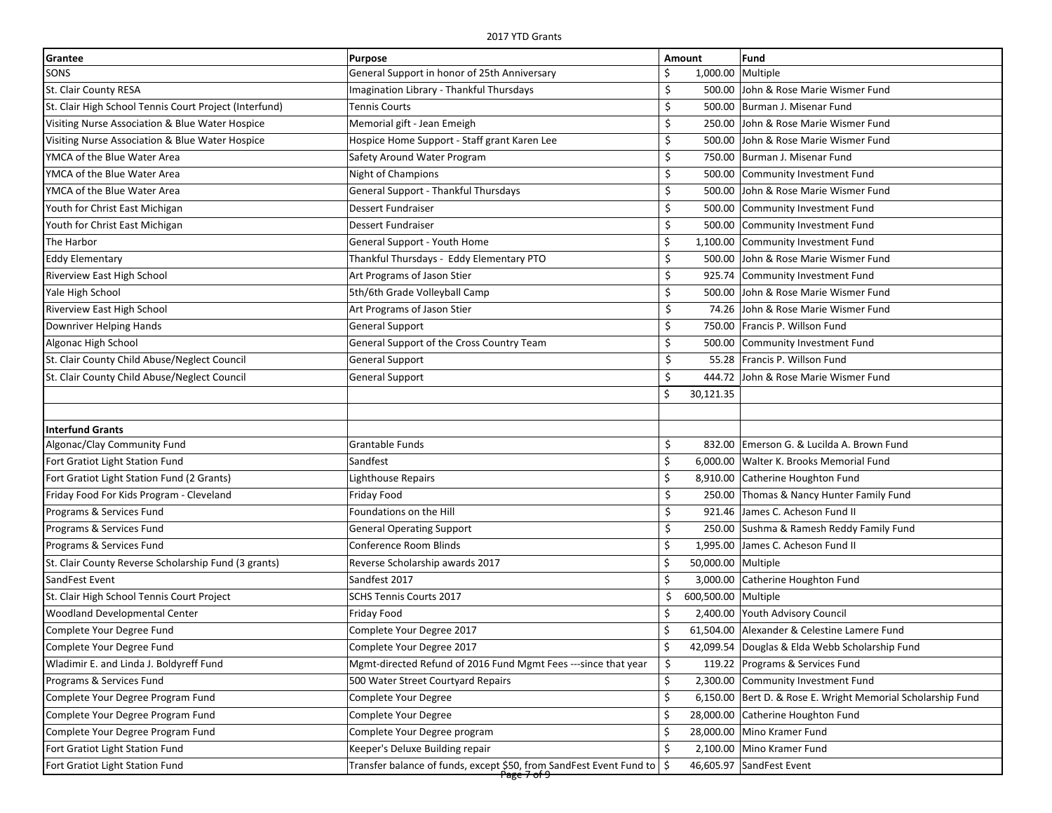| Grantee                                                | Purpose                                                                  | Amount                    | Fund                                                        |
|--------------------------------------------------------|--------------------------------------------------------------------------|---------------------------|-------------------------------------------------------------|
| SONS                                                   | General Support in honor of 25th Anniversary                             | Ś<br>1,000.00 Multiple    |                                                             |
| St. Clair County RESA                                  | Imagination Library - Thankful Thursdays                                 | \$                        | 500.00 John & Rose Marie Wismer Fund                        |
| St. Clair High School Tennis Court Project (Interfund) | <b>Tennis Courts</b>                                                     | Ś                         | 500.00 Burman J. Misenar Fund                               |
| Visiting Nurse Association & Blue Water Hospice        | Memorial gift - Jean Emeigh                                              | \$                        | 250.00 John & Rose Marie Wismer Fund                        |
| Visiting Nurse Association & Blue Water Hospice        | Hospice Home Support - Staff grant Karen Lee                             | Ś                         | 500.00 John & Rose Marie Wismer Fund                        |
| YMCA of the Blue Water Area                            | Safety Around Water Program                                              | \$                        | 750.00 Burman J. Misenar Fund                               |
| YMCA of the Blue Water Area                            | Night of Champions                                                       | \$                        | 500.00 Community Investment Fund                            |
| YMCA of the Blue Water Area                            | General Support - Thankful Thursdays                                     | \$                        | 500.00 John & Rose Marie Wismer Fund                        |
| Youth for Christ East Michigan                         | Dessert Fundraiser                                                       | \$                        | 500.00 Community Investment Fund                            |
| Youth for Christ East Michigan                         | <b>Dessert Fundraiser</b>                                                | \$                        | 500.00 Community Investment Fund                            |
| The Harbor                                             | General Support - Youth Home                                             | Ś                         | 1,100.00 Community Investment Fund                          |
| <b>Eddy Elementary</b>                                 | Thankful Thursdays - Eddy Elementary PTO                                 | \$<br>500.00              | John & Rose Marie Wismer Fund                               |
| <b>Riverview East High School</b>                      | Art Programs of Jason Stier                                              | \$                        | 925.74 Community Investment Fund                            |
| Yale High School                                       | 5th/6th Grade Volleyball Camp                                            | \$                        | 500.00 John & Rose Marie Wismer Fund                        |
| Riverview East High School                             | Art Programs of Jason Stier                                              | Ś.                        | 74.26 John & Rose Marie Wismer Fund                         |
| Downriver Helping Hands                                | <b>General Support</b>                                                   | Ś                         | 750.00 Francis P. Willson Fund                              |
| Algonac High School                                    | General Support of the Cross Country Team                                | \$<br>500.00              | Community Investment Fund                                   |
| St. Clair County Child Abuse/Neglect Council           | General Support                                                          | \$                        | 55.28   Francis P. Willson Fund                             |
| St. Clair County Child Abuse/Neglect Council           | <b>General Support</b>                                                   | Ś                         | 444.72 John & Rose Marie Wismer Fund                        |
|                                                        |                                                                          | Ś<br>30,121.35            |                                                             |
|                                                        |                                                                          |                           |                                                             |
| <b>Interfund Grants</b>                                |                                                                          |                           |                                                             |
| Algonac/Clay Community Fund                            | Grantable Funds                                                          | Ś                         | 832.00 Emerson G. & Lucilda A. Brown Fund                   |
| Fort Gratiot Light Station Fund                        | Sandfest                                                                 | Ś                         | 6,000.00 Walter K. Brooks Memorial Fund                     |
| Fort Gratiot Light Station Fund (2 Grants)             | Lighthouse Repairs                                                       | \$                        | 8,910.00 Catherine Houghton Fund                            |
| Friday Food For Kids Program - Cleveland               | Friday Food                                                              | \$                        | 250.00 Thomas & Nancy Hunter Family Fund                    |
| Programs & Services Fund                               | Foundations on the Hill                                                  | \$                        | 921.46 James C. Acheson Fund II                             |
| Programs & Services Fund                               | <b>General Operating Support</b>                                         | Ś                         | 250.00 Sushma & Ramesh Reddy Family Fund                    |
| Programs & Services Fund                               | Conference Room Blinds                                                   | Ś                         | 1,995.00 James C. Acheson Fund II                           |
| St. Clair County Reverse Scholarship Fund (3 grants)   | Reverse Scholarship awards 2017                                          | 50,000.00 Multiple<br>\$  |                                                             |
| SandFest Event                                         | Sandfest 2017                                                            | Ś                         | 3,000.00 Catherine Houghton Fund                            |
| St. Clair High School Tennis Court Project             | SCHS Tennis Courts 2017                                                  | \$<br>600,500.00 Multiple |                                                             |
| <b>Woodland Developmental Center</b>                   | Friday Food                                                              | Ś                         | 2,400.00 Youth Advisory Council                             |
| Complete Your Degree Fund                              | Complete Your Degree 2017                                                | Ś.                        | 61,504.00 Alexander & Celestine Lamere Fund                 |
| Complete Your Degree Fund                              | Complete Your Degree 2017                                                | -Ş                        | 42,099.54 Douglas & Elda Webb Scholarship Fund              |
| Wladimir E. and Linda J. Boldyreff Fund                | Mgmt-directed Refund of 2016 Fund Mgmt Fees ---since that year           | \$                        | 119.22 Programs & Services Fund                             |
| Programs & Services Fund                               | 500 Water Street Courtyard Repairs                                       | \$                        | 2,300.00 Community Investment Fund                          |
| Complete Your Degree Program Fund                      | Complete Your Degree                                                     | \$                        | 6,150.00 Bert D. & Rose E. Wright Memorial Scholarship Fund |
| Complete Your Degree Program Fund                      | Complete Your Degree                                                     | \$                        | 28,000.00 Catherine Houghton Fund                           |
| Complete Your Degree Program Fund                      | Complete Your Degree program                                             | Ś.                        | 28,000.00   Mino Kramer Fund                                |
| Fort Gratiot Light Station Fund                        | Keeper's Deluxe Building repair                                          | \$                        | 2,100.00 Mino Kramer Fund                                   |
| Fort Gratiot Light Station Fund                        | Transfer balance of funds, except \$50, from SandFest Event Fund to   \$ |                           | 46,605.97 SandFest Event                                    |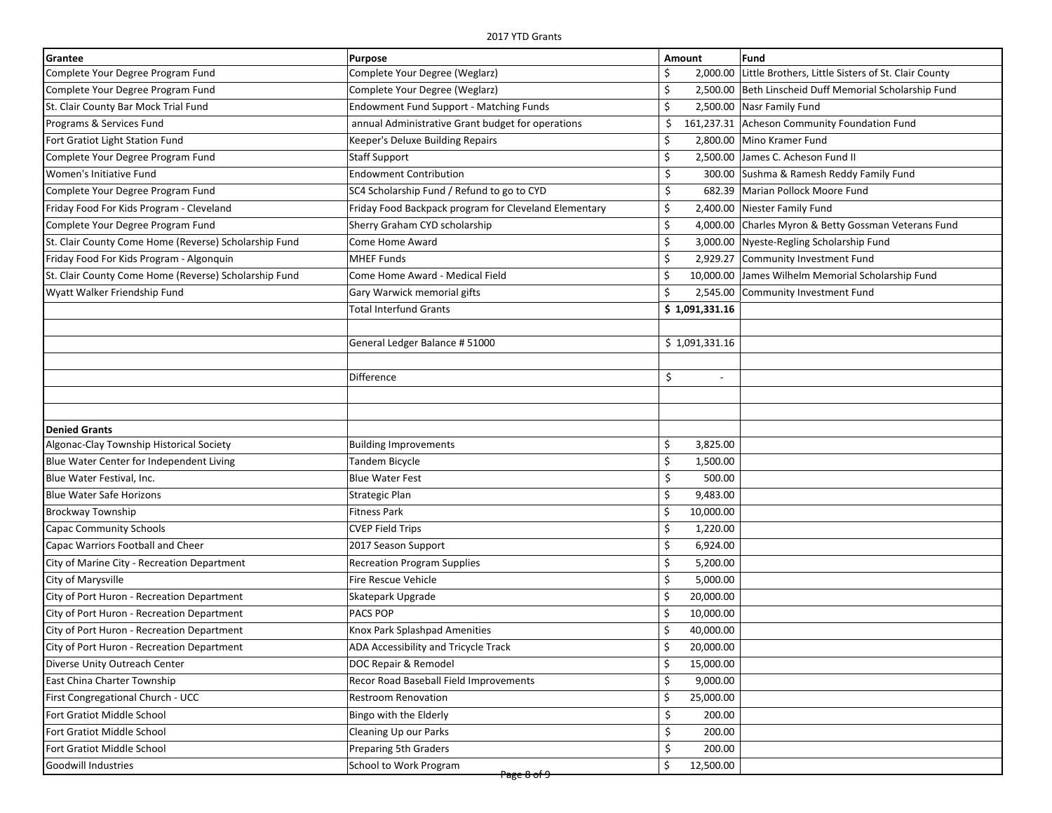| Grantee                                               | Purpose                                               | Amount                         | Fund                                                         |
|-------------------------------------------------------|-------------------------------------------------------|--------------------------------|--------------------------------------------------------------|
| Complete Your Degree Program Fund                     | Complete Your Degree (Weglarz)                        | Ŝ                              | 2,000.00 Little Brothers, Little Sisters of St. Clair County |
| Complete Your Degree Program Fund                     | Complete Your Degree (Weglarz)                        | \$                             | 2,500.00 Beth Linscheid Duff Memorial Scholarship Fund       |
| St. Clair County Bar Mock Trial Fund                  | <b>Endowment Fund Support - Matching Funds</b>        | \$                             | 2,500.00 Nasr Family Fund                                    |
| Programs & Services Fund                              | annual Administrative Grant budget for operations     | \$                             | 161,237.31 Acheson Community Foundation Fund                 |
| Fort Gratiot Light Station Fund                       | Keeper's Deluxe Building Repairs                      | \$                             | 2,800.00 Mino Kramer Fund                                    |
| Complete Your Degree Program Fund                     | Staff Support                                         | \$                             | 2,500.00 James C. Acheson Fund II                            |
| Women's Initiative Fund                               | <b>Endowment Contribution</b>                         | \$                             | 300.00 Sushma & Ramesh Reddy Family Fund                     |
| Complete Your Degree Program Fund                     | SC4 Scholarship Fund / Refund to go to CYD            | \$                             | 682.39 Marian Pollock Moore Fund                             |
| Friday Food For Kids Program - Cleveland              | Friday Food Backpack program for Cleveland Elementary | \$                             | 2,400.00 Niester Family Fund                                 |
| Complete Your Degree Program Fund                     | Sherry Graham CYD scholarship                         | \$                             | 4,000.00 Charles Myron & Betty Gossman Veterans Fund         |
| St. Clair County Come Home (Reverse) Scholarship Fund | Come Home Award                                       | \$                             | 3,000.00 Nyeste-Regling Scholarship Fund                     |
| Friday Food For Kids Program - Algonquin              | <b>MHEF Funds</b>                                     | \$                             | 2,929.27 Community Investment Fund                           |
| St. Clair County Come Home (Reverse) Scholarship Fund | Come Home Award - Medical Field                       | \$                             | 10,000.00 James Wilhelm Memorial Scholarship Fund            |
| Wyatt Walker Friendship Fund                          | Gary Warwick memorial gifts                           | Ś                              | 2,545.00 Community Investment Fund                           |
|                                                       | <b>Total Interfund Grants</b>                         | \$1,091,331.16                 |                                                              |
|                                                       |                                                       |                                |                                                              |
|                                                       | General Ledger Balance # 51000                        | \$1,091,331.16                 |                                                              |
|                                                       |                                                       |                                |                                                              |
|                                                       | <b>Difference</b>                                     | \$<br>$\overline{\phantom{a}}$ |                                                              |
|                                                       |                                                       |                                |                                                              |
|                                                       |                                                       |                                |                                                              |
| <b>Denied Grants</b>                                  |                                                       |                                |                                                              |
| Algonac-Clay Township Historical Society              | <b>Building Improvements</b>                          | \$<br>3,825.00                 |                                                              |
| Blue Water Center for Independent Living              | Tandem Bicycle                                        | \$<br>1,500.00                 |                                                              |
| Blue Water Festival, Inc.                             | <b>Blue Water Fest</b>                                | \$<br>500.00                   |                                                              |
| <b>Blue Water Safe Horizons</b>                       | Strategic Plan                                        | \$<br>9,483.00                 |                                                              |
| <b>Brockway Township</b>                              | Fitness Park                                          | \$<br>10,000.00                |                                                              |
| <b>Capac Community Schools</b>                        | <b>CVEP Field Trips</b>                               | \$<br>1,220.00                 |                                                              |
| Capac Warriors Football and Cheer                     | 2017 Season Support                                   | \$<br>6,924.00                 |                                                              |
| City of Marine City - Recreation Department           | <b>Recreation Program Supplies</b>                    | \$<br>5,200.00                 |                                                              |
| City of Marysville                                    | Fire Rescue Vehicle                                   | \$<br>5,000.00                 |                                                              |
| City of Port Huron - Recreation Department            | Skatepark Upgrade                                     | \$<br>20,000.00                |                                                              |
| City of Port Huron - Recreation Department            | <b>PACS POP</b>                                       | \$<br>10,000.00                |                                                              |
| City of Port Huron - Recreation Department            | Knox Park Splashpad Amenities                         | Ś.<br>40,000.00                |                                                              |
| City of Port Huron - Recreation Department            | ADA Accessibility and Tricycle Track                  | \$<br>20,000.00                |                                                              |
| Diverse Unity Outreach Center                         | DOC Repair & Remodel                                  | \$<br>15,000.00                |                                                              |
| East China Charter Township                           | Recor Road Baseball Field Improvements                | \$<br>9,000.00                 |                                                              |
| First Congregational Church - UCC                     | <b>Restroom Renovation</b>                            | \$<br>25,000.00                |                                                              |
| Fort Gratiot Middle School                            | Bingo with the Elderly                                | \$<br>200.00                   |                                                              |
| Fort Gratiot Middle School                            | <b>Cleaning Up our Parks</b>                          | \$<br>200.00                   |                                                              |
| Fort Gratiot Middle School                            | Preparing 5th Graders                                 | \$<br>200.00                   |                                                              |
| <b>Goodwill Industries</b>                            | School to Work Program                                | \$<br>12,500.00                |                                                              |